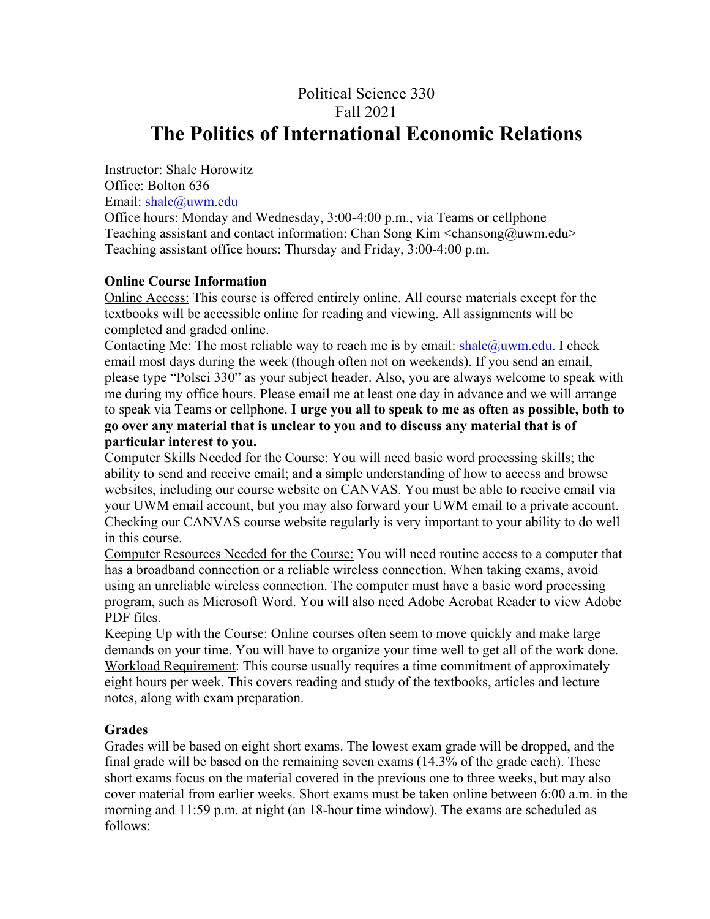# Political Science 330 Fall 2021 **The Politics of International Economic Relations**

Instructor: Shale Horowitz Office: Bolton 636 Email: shale@uwm.edu

Office hours: Monday and Wednesday, 3:00-4:00 p.m., via Teams or cellphone Teaching assistant and contact information: Chan Song Kim  $\langle$ chansong@uwm.edu $\rangle$ Teaching assistant office hours: Thursday and Friday, 3:00-4:00 p.m.

# **Online Course Information**

Online Access: This course is offered entirely online. All course materials except for the textbooks will be accessible online for reading and viewing. All assignments will be completed and graded online.

Contacting Me: The most reliable way to reach me is by email:  $\text{shape}(\omega)$  wm.edu. I check email most days during the week (though often not on weekends). If you send an email, please type "Polsci 330" as your subject header. Also, you are always welcome to speak with me during my office hours. Please email me at least one day in advance and we will arrange to speak via Teams or cellphone. **I urge you all to speak to me as often as possible, both to go over any material that is unclear to you and to discuss any material that is of particular interest to you.**

Computer Skills Needed for the Course: You will need basic word processing skills; the ability to send and receive email; and a simple understanding of how to access and browse websites, including our course website on CANVAS. You must be able to receive email via your UWM email account, but you may also forward your UWM email to a private account. Checking our CANVAS course website regularly is very important to your ability to do well in this course.

Computer Resources Needed for the Course: You will need routine access to a computer that has a broadband connection or a reliable wireless connection. When taking exams, avoid using an unreliable wireless connection. The computer must have a basic word processing program, such as Microsoft Word. You will also need Adobe Acrobat Reader to view Adobe PDF files.

Keeping Up with the Course: Online courses often seem to move quickly and make large demands on your time. You will have to organize your time well to get all of the work done. Workload Requirement: This course usually requires a time commitment of approximately eight hours per week. This covers reading and study of the textbooks, articles and lecture notes, along with exam preparation.

# **Grades**

Grades will be based on eight short exams. The lowest exam grade will be dropped, and the final grade will be based on the remaining seven exams (14.3% of the grade each). These short exams focus on the material covered in the previous one to three weeks, but may also cover material from earlier weeks. Short exams must be taken online between 6:00 a.m. in the morning and 11:59 p.m. at night (an 18-hour time window). The exams are scheduled as follows: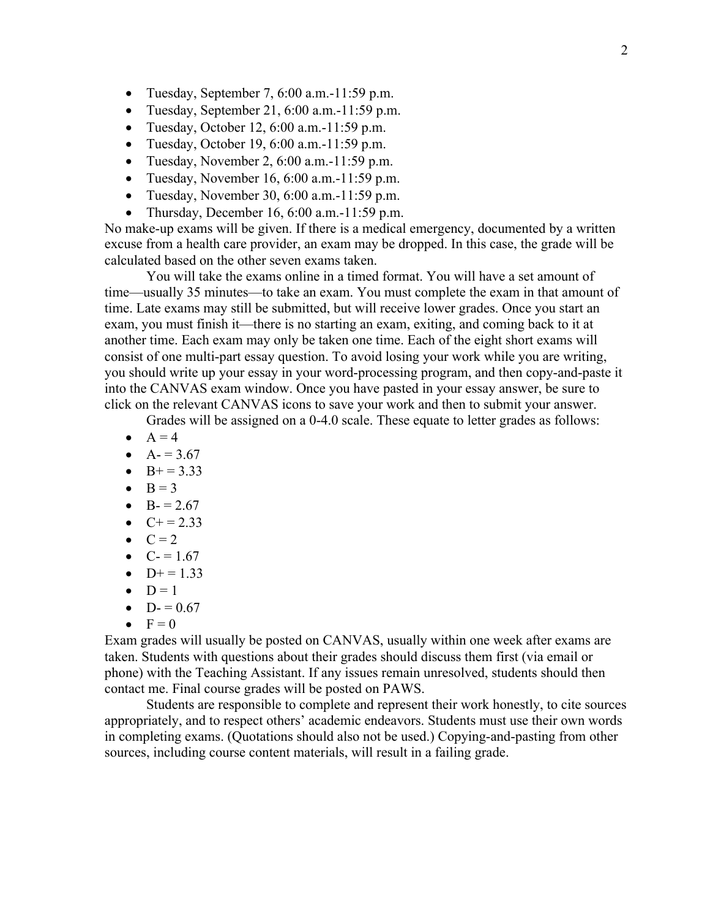- Tuesday, September 7, 6:00 a.m.-11:59 p.m.
- Tuesday, September 21, 6:00 a.m.  $-11:59$  p.m.
- Tuesday, October 12,  $6:00$  a.m.  $-11:59$  p.m.
- Tuesday, October 19, 6:00 a.m. $-11:59$  p.m.
- Tuesday, November 2,  $6:00$  a.m.  $-11:59$  p.m.
- Tuesday, November 16, 6:00 a.m.-11:59 p.m.
- Tuesday, November 30, 6:00 a.m.  $-11:59$  p.m.
- Thursday, December 16, 6:00 a.m.  $-11:59$  p.m.

No make-up exams will be given. If there is a medical emergency, documented by a written excuse from a health care provider, an exam may be dropped. In this case, the grade will be calculated based on the other seven exams taken.

You will take the exams online in a timed format. You will have a set amount of time—usually 35 minutes—to take an exam. You must complete the exam in that amount of time. Late exams may still be submitted, but will receive lower grades. Once you start an exam, you must finish it—there is no starting an exam, exiting, and coming back to it at another time. Each exam may only be taken one time. Each of the eight short exams will consist of one multi-part essay question. To avoid losing your work while you are writing, you should write up your essay in your word-processing program, and then copy-and-paste it into the CANVAS exam window. Once you have pasted in your essay answer, be sure to click on the relevant CANVAS icons to save your work and then to submit your answer.

Grades will be assigned on a 0-4.0 scale. These equate to letter grades as follows:

- $\bullet$  A = 4
- $A = 3.67$
- $B+=3.33$
- $\bullet$  B = 3
- $B = 2.67$
- $C+ = 2.33$
- $\bullet$   $C = 2$
- $C = 1.67$
- $D+=1.33$
- $\bullet$  D = 1
- $D = 0.67$
- $\bullet \quad F = 0$

Exam grades will usually be posted on CANVAS, usually within one week after exams are taken. Students with questions about their grades should discuss them first (via email or phone) with the Teaching Assistant. If any issues remain unresolved, students should then contact me. Final course grades will be posted on PAWS.

Students are responsible to complete and represent their work honestly, to cite sources appropriately, and to respect others' academic endeavors. Students must use their own words in completing exams. (Quotations should also not be used.) Copying-and-pasting from other sources, including course content materials, will result in a failing grade.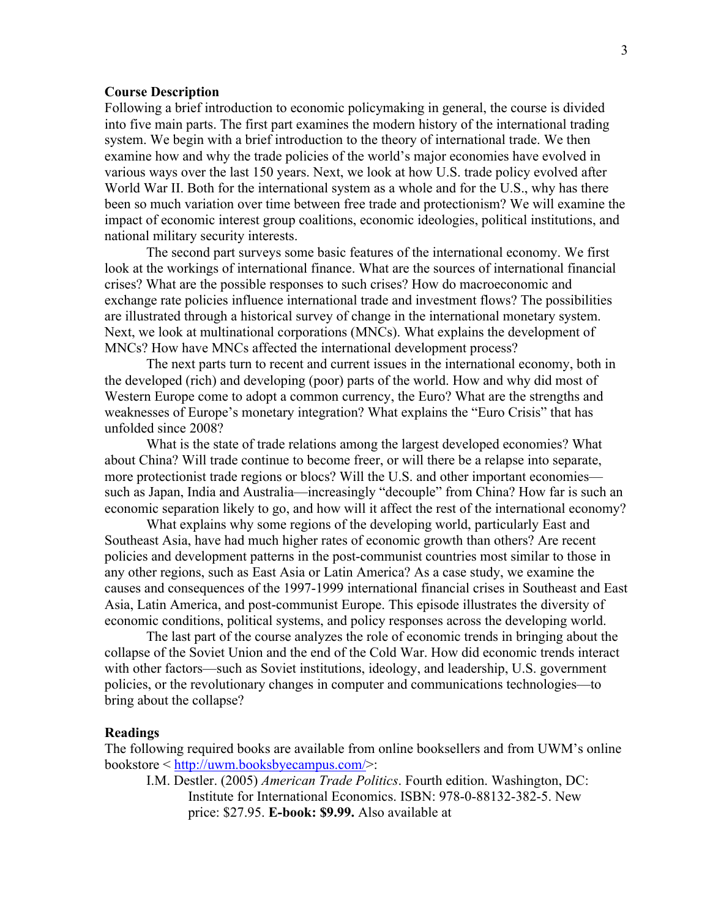#### **Course Description**

Following a brief introduction to economic policymaking in general, the course is divided into five main parts. The first part examines the modern history of the international trading system. We begin with a brief introduction to the theory of international trade. We then examine how and why the trade policies of the world's major economies have evolved in various ways over the last 150 years. Next, we look at how U.S. trade policy evolved after World War II. Both for the international system as a whole and for the U.S., why has there been so much variation over time between free trade and protectionism? We will examine the impact of economic interest group coalitions, economic ideologies, political institutions, and national military security interests.

The second part surveys some basic features of the international economy. We first look at the workings of international finance. What are the sources of international financial crises? What are the possible responses to such crises? How do macroeconomic and exchange rate policies influence international trade and investment flows? The possibilities are illustrated through a historical survey of change in the international monetary system. Next, we look at multinational corporations (MNCs). What explains the development of MNCs? How have MNCs affected the international development process?

The next parts turn to recent and current issues in the international economy, both in the developed (rich) and developing (poor) parts of the world. How and why did most of Western Europe come to adopt a common currency, the Euro? What are the strengths and weaknesses of Europe's monetary integration? What explains the "Euro Crisis" that has unfolded since 2008?

What is the state of trade relations among the largest developed economies? What about China? Will trade continue to become freer, or will there be a relapse into separate, more protectionist trade regions or blocs? Will the U.S. and other important economies such as Japan, India and Australia—increasingly "decouple" from China? How far is such an economic separation likely to go, and how will it affect the rest of the international economy?

What explains why some regions of the developing world, particularly East and Southeast Asia, have had much higher rates of economic growth than others? Are recent policies and development patterns in the post-communist countries most similar to those in any other regions, such as East Asia or Latin America? As a case study, we examine the causes and consequences of the 1997-1999 international financial crises in Southeast and East Asia, Latin America, and post-communist Europe. This episode illustrates the diversity of economic conditions, political systems, and policy responses across the developing world.

The last part of the course analyzes the role of economic trends in bringing about the collapse of the Soviet Union and the end of the Cold War. How did economic trends interact with other factors—such as Soviet institutions, ideology, and leadership, U.S. government policies, or the revolutionary changes in computer and communications technologies—to bring about the collapse?

#### **Readings**

The following required books are available from online booksellers and from UWM's online bookstore < http://uwm.booksbyecampus.com/>:

I.M. Destler. (2005) *American Trade Politics*. Fourth edition. Washington, DC: Institute for International Economics. ISBN: 978-0-88132-382-5. New price: \$27.95. **E-book: \$9.99.** Also available at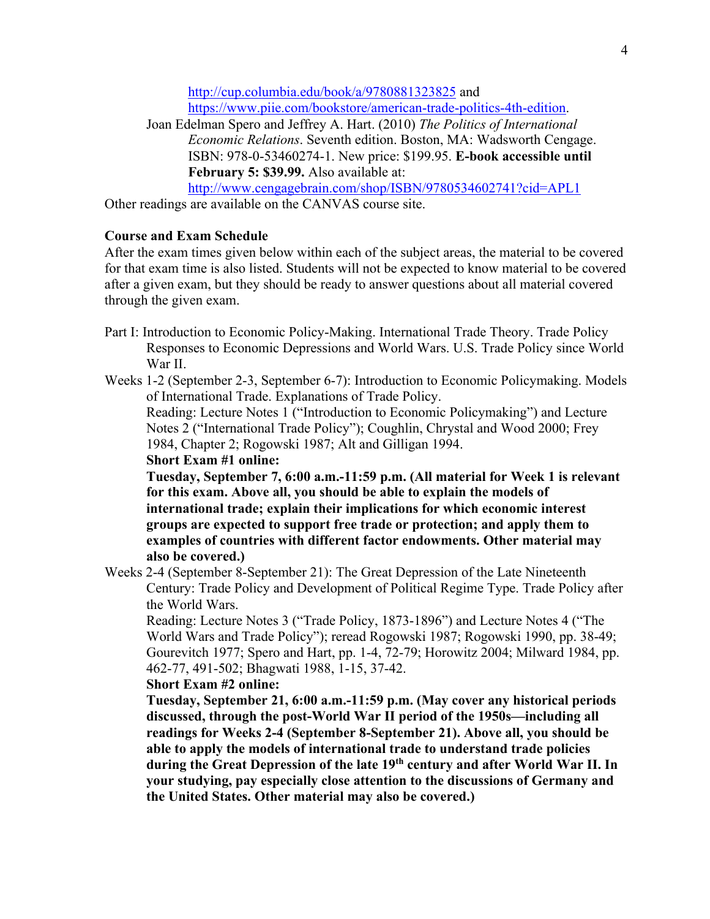http://cup.columbia.edu/book/a/9780881323825 and https://www.piie.com/bookstore/american-trade-politics-4th-edition.

Joan Edelman Spero and Jeffrey A. Hart. (2010) *The Politics of International Economic Relations*. Seventh edition. Boston, MA: Wadsworth Cengage. ISBN: 978-0-53460274-1. New price: \$199.95. **E-book accessible until February 5: \$39.99.** Also available at:

http://www.cengagebrain.com/shop/ISBN/9780534602741?cid=APL1

Other readings are available on the CANVAS course site.

# **Course and Exam Schedule**

After the exam times given below within each of the subject areas, the material to be covered for that exam time is also listed. Students will not be expected to know material to be covered after a given exam, but they should be ready to answer questions about all material covered through the given exam.

- Part I: Introduction to Economic Policy-Making. International Trade Theory. Trade Policy Responses to Economic Depressions and World Wars. U.S. Trade Policy since World War II.
- Weeks 1-2 (September 2-3, September 6-7): Introduction to Economic Policymaking. Models of International Trade. Explanations of Trade Policy.

Reading: Lecture Notes 1 ("Introduction to Economic Policymaking") and Lecture Notes 2 ("International Trade Policy"); Coughlin, Chrystal and Wood 2000; Frey 1984, Chapter 2; Rogowski 1987; Alt and Gilligan 1994.

**Short Exam #1 online:** 

**Tuesday, September 7, 6:00 a.m.-11:59 p.m. (All material for Week 1 is relevant for this exam. Above all, you should be able to explain the models of international trade; explain their implications for which economic interest groups are expected to support free trade or protection; and apply them to examples of countries with different factor endowments. Other material may also be covered.)**

Weeks 2-4 (September 8-September 21): The Great Depression of the Late Nineteenth Century: Trade Policy and Development of Political Regime Type. Trade Policy after the World Wars.

Reading: Lecture Notes 3 ("Trade Policy, 1873-1896") and Lecture Notes 4 ("The World Wars and Trade Policy"); reread Rogowski 1987; Rogowski 1990, pp. 38-49; Gourevitch 1977; Spero and Hart, pp. 1-4, 72-79; Horowitz 2004; Milward 1984, pp. 462-77, 491-502; Bhagwati 1988, 1-15, 37-42.

# **Short Exam #2 online:**

**Tuesday, September 21, 6:00 a.m.-11:59 p.m. (May cover any historical periods discussed, through the post-World War II period of the 1950s—including all readings for Weeks 2-4 (September 8-September 21). Above all, you should be able to apply the models of international trade to understand trade policies during the Great Depression of the late 19th century and after World War II. In your studying, pay especially close attention to the discussions of Germany and the United States. Other material may also be covered.)**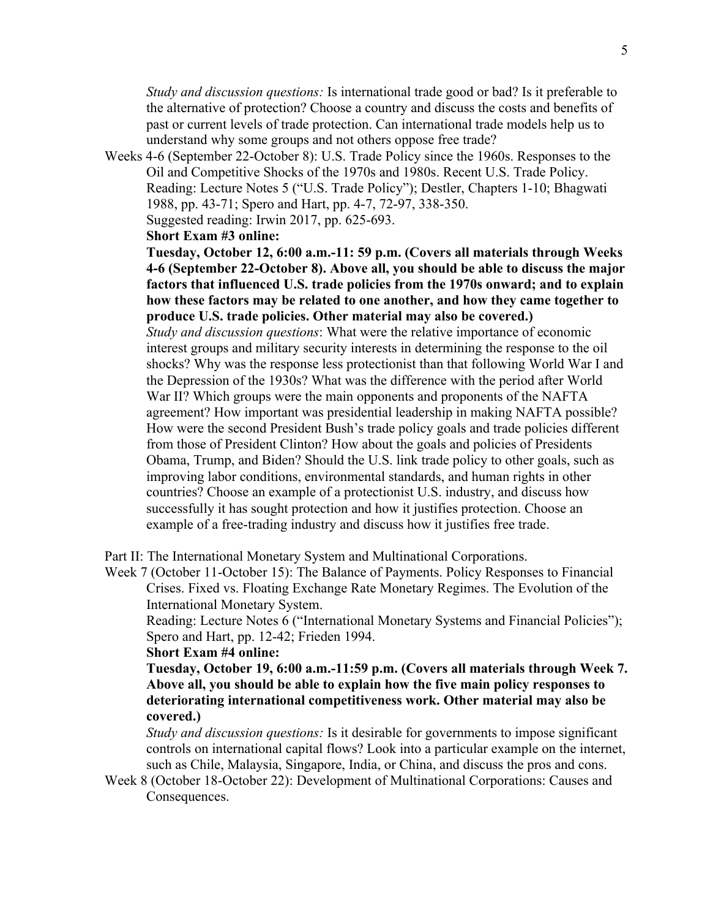*Study and discussion questions:* Is international trade good or bad? Is it preferable to the alternative of protection? Choose a country and discuss the costs and benefits of past or current levels of trade protection. Can international trade models help us to understand why some groups and not others oppose free trade?

Weeks 4-6 (September 22-October 8): U.S. Trade Policy since the 1960s. Responses to the Oil and Competitive Shocks of the 1970s and 1980s. Recent U.S. Trade Policy. Reading: Lecture Notes 5 ("U.S. Trade Policy"); Destler, Chapters 1-10; Bhagwati 1988, pp. 43-71; Spero and Hart, pp. 4-7, 72-97, 338-350.

Suggested reading: Irwin 2017, pp. 625-693.

**Short Exam #3 online:** 

**Tuesday, October 12, 6:00 a.m.-11: 59 p.m. (Covers all materials through Weeks 4-6 (September 22-October 8). Above all, you should be able to discuss the major factors that influenced U.S. trade policies from the 1970s onward; and to explain how these factors may be related to one another, and how they came together to produce U.S. trade policies. Other material may also be covered.)**

*Study and discussion questions*: What were the relative importance of economic interest groups and military security interests in determining the response to the oil shocks? Why was the response less protectionist than that following World War I and the Depression of the 1930s? What was the difference with the period after World War II? Which groups were the main opponents and proponents of the NAFTA agreement? How important was presidential leadership in making NAFTA possible? How were the second President Bush's trade policy goals and trade policies different from those of President Clinton? How about the goals and policies of Presidents Obama, Trump, and Biden? Should the U.S. link trade policy to other goals, such as improving labor conditions, environmental standards, and human rights in other countries? Choose an example of a protectionist U.S. industry, and discuss how successfully it has sought protection and how it justifies protection. Choose an example of a free-trading industry and discuss how it justifies free trade.

Part II: The International Monetary System and Multinational Corporations.

Week 7 (October 11-October 15): The Balance of Payments. Policy Responses to Financial Crises. Fixed vs. Floating Exchange Rate Monetary Regimes. The Evolution of the International Monetary System.

Reading: Lecture Notes 6 ("International Monetary Systems and Financial Policies"); Spero and Hart, pp. 12-42; Frieden 1994.

**Short Exam #4 online:** 

**Tuesday, October 19, 6:00 a.m.-11:59 p.m. (Covers all materials through Week 7. Above all, you should be able to explain how the five main policy responses to deteriorating international competitiveness work. Other material may also be covered.)**

*Study and discussion questions:* Is it desirable for governments to impose significant controls on international capital flows? Look into a particular example on the internet, such as Chile, Malaysia, Singapore, India, or China, and discuss the pros and cons.

Week 8 (October 18-October 22): Development of Multinational Corporations: Causes and Consequences.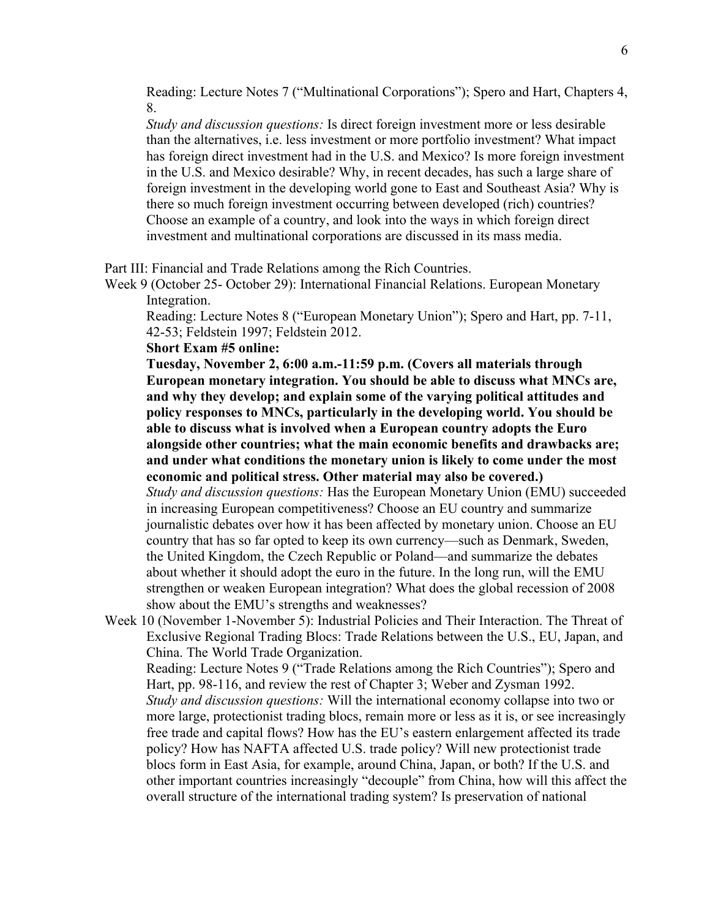Reading: Lecture Notes 7 ("Multinational Corporations"); Spero and Hart, Chapters 4, 8.

*Study and discussion questions:* Is direct foreign investment more or less desirable than the alternatives, i.e. less investment or more portfolio investment? What impact has foreign direct investment had in the U.S. and Mexico? Is more foreign investment in the U.S. and Mexico desirable? Why, in recent decades, has such a large share of foreign investment in the developing world gone to East and Southeast Asia? Why is there so much foreign investment occurring between developed (rich) countries? Choose an example of a country, and look into the ways in which foreign direct investment and multinational corporations are discussed in its mass media.

Part III: Financial and Trade Relations among the Rich Countries.

Week 9 (October 25- October 29): International Financial Relations. European Monetary Integration.

Reading: Lecture Notes 8 ("European Monetary Union"); Spero and Hart, pp. 7-11, 42-53; Feldstein 1997; Feldstein 2012.

### **Short Exam #5 online:**

**Tuesday, November 2, 6:00 a.m.-11:59 p.m. (Covers all materials through European monetary integration. You should be able to discuss what MNCs are, and why they develop; and explain some of the varying political attitudes and policy responses to MNCs, particularly in the developing world. You should be able to discuss what is involved when a European country adopts the Euro alongside other countries; what the main economic benefits and drawbacks are; and under what conditions the monetary union is likely to come under the most economic and political stress. Other material may also be covered.)** *Study and discussion questions:* Has the European Monetary Union (EMU) succeeded in increasing European competitiveness? Choose an EU country and summarize journalistic debates over how it has been affected by monetary union. Choose an EU country that has so far opted to keep its own currency—such as Denmark, Sweden, the United Kingdom, the Czech Republic or Poland—and summarize the debates about whether it should adopt the euro in the future. In the long run, will the EMU strengthen or weaken European integration? What does the global recession of 2008

show about the EMU's strengths and weaknesses?

Week 10 (November 1-November 5): Industrial Policies and Their Interaction. The Threat of Exclusive Regional Trading Blocs: Trade Relations between the U.S., EU, Japan, and China. The World Trade Organization.

Reading: Lecture Notes 9 ("Trade Relations among the Rich Countries"); Spero and Hart, pp. 98-116, and review the rest of Chapter 3; Weber and Zysman 1992. *Study and discussion questions:* Will the international economy collapse into two or more large, protectionist trading blocs, remain more or less as it is, or see increasingly free trade and capital flows? How has the EU's eastern enlargement affected its trade policy? How has NAFTA affected U.S. trade policy? Will new protectionist trade blocs form in East Asia, for example, around China, Japan, or both? If the U.S. and other important countries increasingly "decouple" from China, how will this affect the overall structure of the international trading system? Is preservation of national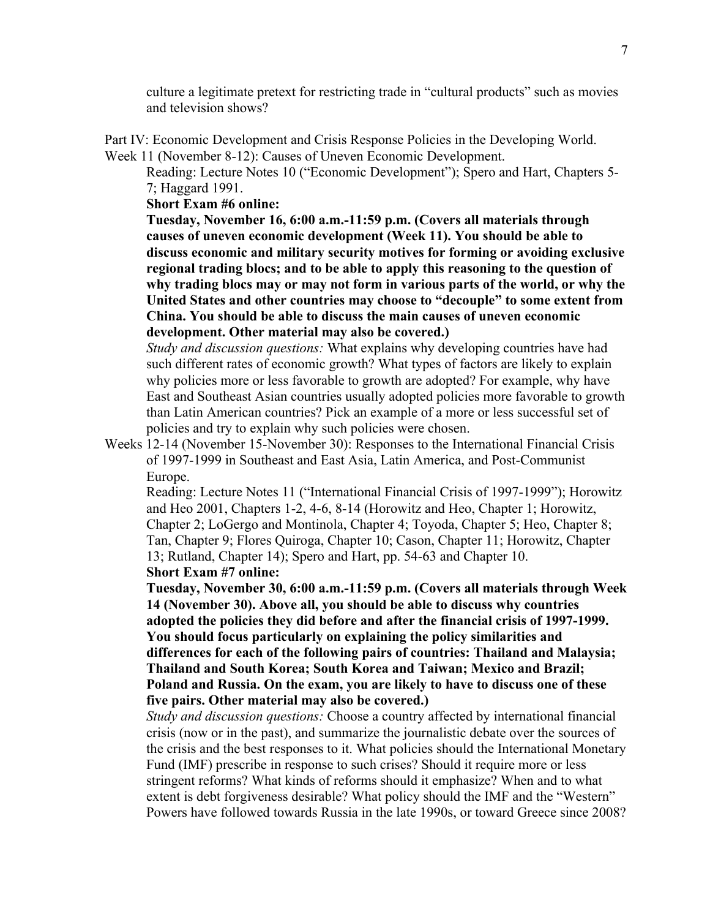culture a legitimate pretext for restricting trade in "cultural products" such as movies and television shows?

Part IV: Economic Development and Crisis Response Policies in the Developing World. Week 11 (November 8-12): Causes of Uneven Economic Development.

Reading: Lecture Notes 10 ("Economic Development"); Spero and Hart, Chapters 5- 7; Haggard 1991.

**Short Exam #6 online:** 

**Tuesday, November 16, 6:00 a.m.-11:59 p.m. (Covers all materials through causes of uneven economic development (Week 11). You should be able to discuss economic and military security motives for forming or avoiding exclusive regional trading blocs; and to be able to apply this reasoning to the question of why trading blocs may or may not form in various parts of the world, or why the United States and other countries may choose to "decouple" to some extent from China. You should be able to discuss the main causes of uneven economic development. Other material may also be covered.)**

*Study and discussion questions:* What explains why developing countries have had such different rates of economic growth? What types of factors are likely to explain why policies more or less favorable to growth are adopted? For example, why have East and Southeast Asian countries usually adopted policies more favorable to growth than Latin American countries? Pick an example of a more or less successful set of policies and try to explain why such policies were chosen.

Weeks 12-14 (November 15-November 30): Responses to the International Financial Crisis of 1997-1999 in Southeast and East Asia, Latin America, and Post-Communist Europe.

Reading: Lecture Notes 11 ("International Financial Crisis of 1997-1999"); Horowitz and Heo 2001, Chapters 1-2, 4-6, 8-14 (Horowitz and Heo, Chapter 1; Horowitz, Chapter 2; LoGergo and Montinola, Chapter 4; Toyoda, Chapter 5; Heo, Chapter 8; Tan, Chapter 9; Flores Quiroga, Chapter 10; Cason, Chapter 11; Horowitz, Chapter 13; Rutland, Chapter 14); Spero and Hart, pp. 54-63 and Chapter 10. **Short Exam #7 online:** 

**Tuesday, November 30, 6:00 a.m.-11:59 p.m. (Covers all materials through Week 14 (November 30). Above all, you should be able to discuss why countries adopted the policies they did before and after the financial crisis of 1997-1999. You should focus particularly on explaining the policy similarities and differences for each of the following pairs of countries: Thailand and Malaysia; Thailand and South Korea; South Korea and Taiwan; Mexico and Brazil; Poland and Russia. On the exam, you are likely to have to discuss one of these five pairs. Other material may also be covered.)**

*Study and discussion questions:* Choose a country affected by international financial crisis (now or in the past), and summarize the journalistic debate over the sources of the crisis and the best responses to it. What policies should the International Monetary Fund (IMF) prescribe in response to such crises? Should it require more or less stringent reforms? What kinds of reforms should it emphasize? When and to what extent is debt forgiveness desirable? What policy should the IMF and the "Western" Powers have followed towards Russia in the late 1990s, or toward Greece since 2008?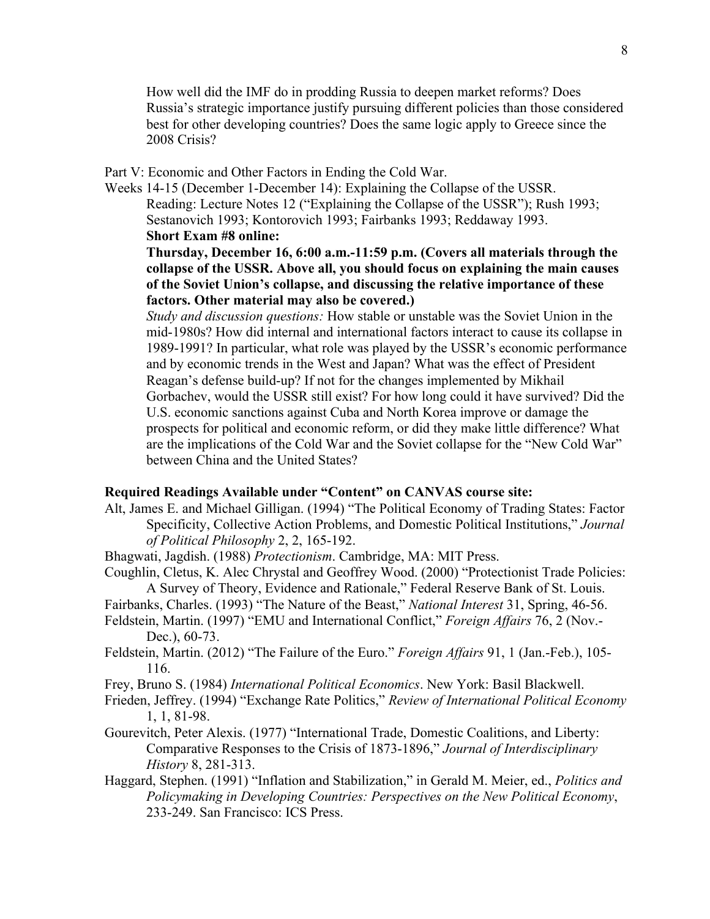How well did the IMF do in prodding Russia to deepen market reforms? Does Russia's strategic importance justify pursuing different policies than those considered best for other developing countries? Does the same logic apply to Greece since the 2008 Crisis?

Part V: Economic and Other Factors in Ending the Cold War.

Weeks 14-15 (December 1-December 14): Explaining the Collapse of the USSR. Reading: Lecture Notes 12 ("Explaining the Collapse of the USSR"); Rush 1993; Sestanovich 1993; Kontorovich 1993; Fairbanks 1993; Reddaway 1993. **Short Exam #8 online:**

**Thursday, December 16, 6:00 a.m.-11:59 p.m. (Covers all materials through the collapse of the USSR. Above all, you should focus on explaining the main causes of the Soviet Union's collapse, and discussing the relative importance of these factors. Other material may also be covered.)**

*Study and discussion questions:* How stable or unstable was the Soviet Union in the mid-1980s? How did internal and international factors interact to cause its collapse in 1989-1991? In particular, what role was played by the USSR's economic performance and by economic trends in the West and Japan? What was the effect of President Reagan's defense build-up? If not for the changes implemented by Mikhail Gorbachev, would the USSR still exist? For how long could it have survived? Did the U.S. economic sanctions against Cuba and North Korea improve or damage the prospects for political and economic reform, or did they make little difference? What are the implications of the Cold War and the Soviet collapse for the "New Cold War" between China and the United States?

### **Required Readings Available under "Content" on CANVAS course site:**

- Alt, James E. and Michael Gilligan. (1994) "The Political Economy of Trading States: Factor Specificity, Collective Action Problems, and Domestic Political Institutions," *Journal of Political Philosophy* 2, 2, 165-192.
- Bhagwati, Jagdish. (1988) *Protectionism*. Cambridge, MA: MIT Press.
- Coughlin, Cletus, K. Alec Chrystal and Geoffrey Wood. (2000) "Protectionist Trade Policies: A Survey of Theory, Evidence and Rationale," Federal Reserve Bank of St. Louis.
- Fairbanks, Charles. (1993) "The Nature of the Beast," *National Interest* 31, Spring, 46-56.
- Feldstein, Martin. (1997) "EMU and International Conflict," *Foreign Affairs* 76, 2 (Nov.- Dec.), 60-73.
- Feldstein, Martin. (2012) "The Failure of the Euro." *Foreign Affairs* 91, 1 (Jan.-Feb.), 105- 116.
- Frey, Bruno S. (1984) *International Political Economics*. New York: Basil Blackwell.
- Frieden, Jeffrey. (1994) "Exchange Rate Politics," *Review of International Political Economy* 1, 1, 81-98.
- Gourevitch, Peter Alexis. (1977) "International Trade, Domestic Coalitions, and Liberty: Comparative Responses to the Crisis of 1873-1896," *Journal of Interdisciplinary History* 8, 281-313.
- Haggard, Stephen. (1991) "Inflation and Stabilization," in Gerald M. Meier, ed., *Politics and Policymaking in Developing Countries: Perspectives on the New Political Economy*, 233-249. San Francisco: ICS Press.